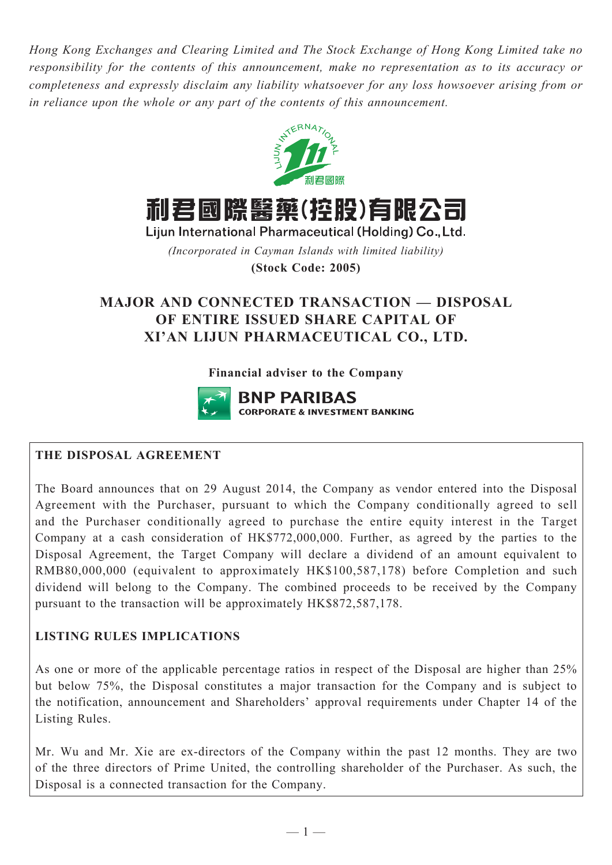*Hong Kong Exchanges and Clearing Limited and The Stock Exchange of Hong Kong Limited take no responsibility for the contents of this announcement, make no representation as to its accuracy or completeness and expressly disclaim any liability whatsoever for any loss howsoever arising from or in reliance upon the whole or any part of the contents of this announcement.*



利君國際醫藥(控股)有限公司

Lijun International Pharmaceutical (Holding) Co., Ltd.

*(Incorporated in Cayman Islands with limited liability)*

**(Stock Code: 2005)**

# **MAJOR AND CONNECTED TRANSACTION — DISPOSAL OF ENTIRE ISSUED SHARE CAPITAL OF XI'AN LIJUN PHARMACEUTICAL CO., LTD.**

# **Financial adviser to the Company**



# **THE DISPOSAL AGREEMENT**

The Board announces that on 29 August 2014, the Company as vendor entered into the Disposal Agreement with the Purchaser, pursuant to which the Company conditionally agreed to sell and the Purchaser conditionally agreed to purchase the entire equity interest in the Target Company at a cash consideration of HK\$772,000,000. Further, as agreed by the parties to the Disposal Agreement, the Target Company will declare a dividend of an amount equivalent to RMB80,000,000 (equivalent to approximately HK\$100,587,178) before Completion and such dividend will belong to the Company. The combined proceeds to be received by the Company pursuant to the transaction will be approximately HK\$872,587,178.

# **LISTING RULES IMPLICATIONS**

As one or more of the applicable percentage ratios in respect of the Disposal are higher than 25% but below 75%, the Disposal constitutes a major transaction for the Company and is subject to the notification, announcement and Shareholders' approval requirements under Chapter 14 of the Listing Rules.

Mr. Wu and Mr. Xie are ex-directors of the Company within the past 12 months. They are two of the three directors of Prime United, the controlling shareholder of the Purchaser. As such, the Disposal is a connected transaction for the Company.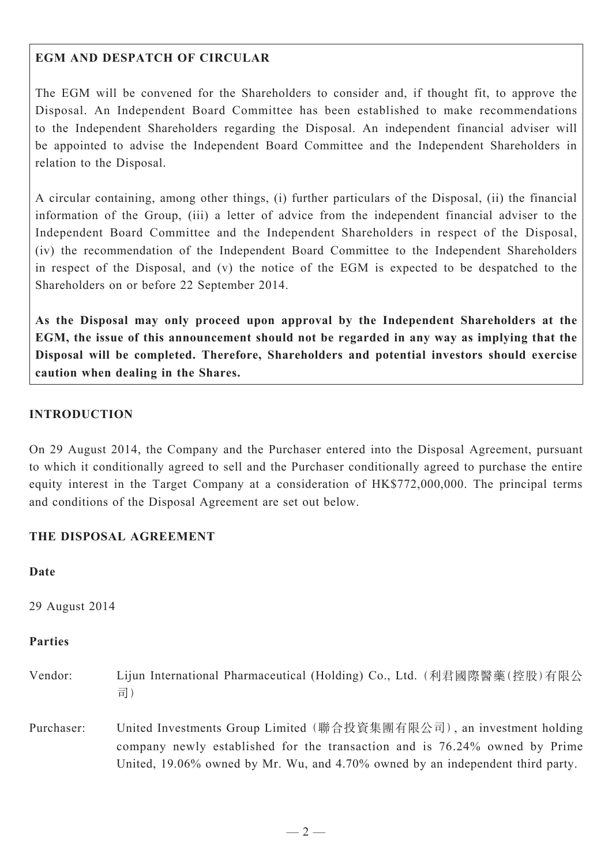### **EGM AND DESPATCH OF CIRCULAR**

The EGM will be convened for the Shareholders to consider and, if thought fit, to approve the Disposal. An Independent Board Committee has been established to make recommendations to the Independent Shareholders regarding the Disposal. An independent financial adviser will be appointed to advise the Independent Board Committee and the Independent Shareholders in relation to the Disposal.

A circular containing, among other things, (i) further particulars of the Disposal, (ii) the financial information of the Group, (iii) a letter of advice from the independent financial adviser to the Independent Board Committee and the Independent Shareholders in respect of the Disposal, (iv) the recommendation of the Independent Board Committee to the Independent Shareholders in respect of the Disposal, and (v) the notice of the EGM is expected to be despatched to the Shareholders on or before 22 September 2014.

**As the Disposal may only proceed upon approval by the Independent Shareholders at the EGM, the issue of this announcement should not be regarded in any way as implying that the Disposal will be completed. Therefore, Shareholders and potential investors should exercise caution when dealing in the Shares.**

### **INTRODUCTION**

On 29 August 2014, the Company and the Purchaser entered into the Disposal Agreement, pursuant to which it conditionally agreed to sell and the Purchaser conditionally agreed to purchase the entire equity interest in the Target Company at a consideration of HK\$772,000,000. The principal terms and conditions of the Disposal Agreement are set out below.

### **THE DISPOSAL AGREEMENT**

### **Date**

29 August 2014

# **Parties**

- Vendor: Lijun International Pharmaceutical (Holding) Co., Ltd. (利君國際醫藥(控股)有限公 司)
- Purchaser: United Investments Group Limited (聯合投資集團有限公司), an investment holding company newly established for the transaction and is 76.24% owned by Prime United, 19.06% owned by Mr. Wu, and 4.70% owned by an independent third party.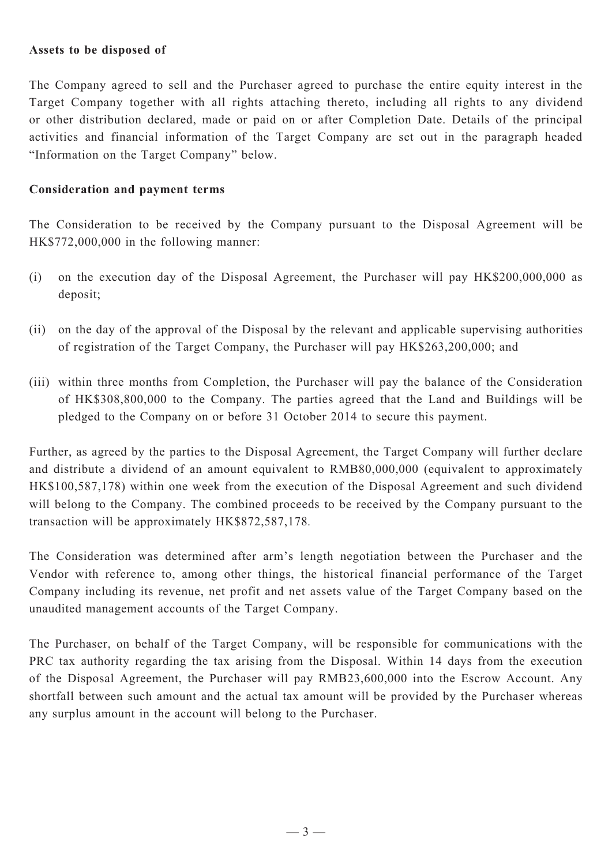#### **Assets to be disposed of**

The Company agreed to sell and the Purchaser agreed to purchase the entire equity interest in the Target Company together with all rights attaching thereto, including all rights to any dividend or other distribution declared, made or paid on or after Completion Date. Details of the principal activities and financial information of the Target Company are set out in the paragraph headed "Information on the Target Company" below.

#### **Consideration and payment terms**

The Consideration to be received by the Company pursuant to the Disposal Agreement will be HK\$772,000,000 in the following manner:

- (i) on the execution day of the Disposal Agreement, the Purchaser will pay HK\$200,000,000 as deposit;
- (ii) on the day of the approval of the Disposal by the relevant and applicable supervising authorities of registration of the Target Company, the Purchaser will pay HK\$263,200,000; and
- (iii) within three months from Completion, the Purchaser will pay the balance of the Consideration of HK\$308,800,000 to the Company. The parties agreed that the Land and Buildings will be pledged to the Company on or before 31 October 2014 to secure this payment.

Further, as agreed by the parties to the Disposal Agreement, the Target Company will further declare and distribute a dividend of an amount equivalent to RMB80,000,000 (equivalent to approximately HK\$100,587,178) within one week from the execution of the Disposal Agreement and such dividend will belong to the Company. The combined proceeds to be received by the Company pursuant to the transaction will be approximately HK\$872,587,178*.*

The Consideration was determined after arm's length negotiation between the Purchaser and the Vendor with reference to, among other things, the historical financial performance of the Target Company including its revenue, net profit and net assets value of the Target Company based on the unaudited management accounts of the Target Company.

The Purchaser, on behalf of the Target Company, will be responsible for communications with the PRC tax authority regarding the tax arising from the Disposal. Within 14 days from the execution of the Disposal Agreement, the Purchaser will pay RMB23,600,000 into the Escrow Account. Any shortfall between such amount and the actual tax amount will be provided by the Purchaser whereas any surplus amount in the account will belong to the Purchaser.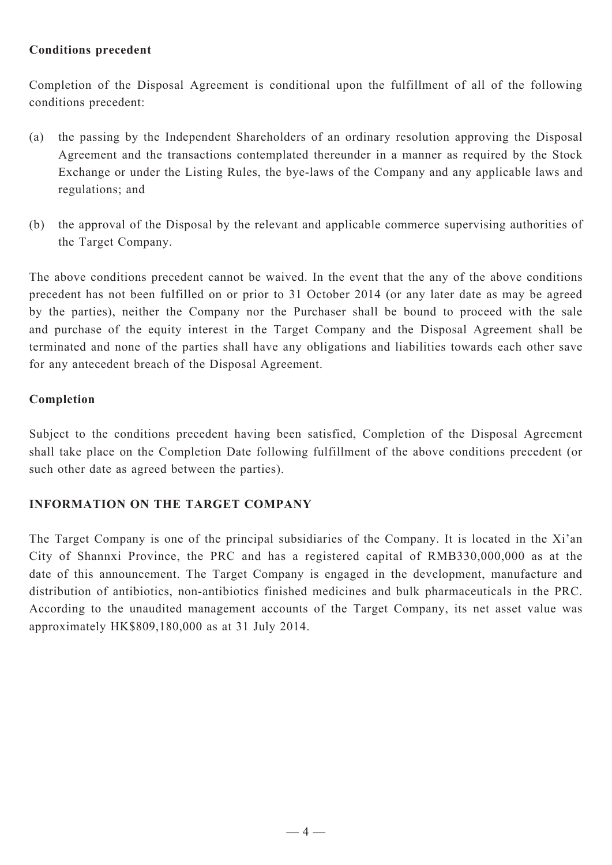### **Conditions precedent**

Completion of the Disposal Agreement is conditional upon the fulfillment of all of the following conditions precedent:

- (a) the passing by the Independent Shareholders of an ordinary resolution approving the Disposal Agreement and the transactions contemplated thereunder in a manner as required by the Stock Exchange or under the Listing Rules, the bye-laws of the Company and any applicable laws and regulations; and
- (b) the approval of the Disposal by the relevant and applicable commerce supervising authorities of the Target Company.

The above conditions precedent cannot be waived. In the event that the any of the above conditions precedent has not been fulfilled on or prior to 31 October 2014 (or any later date as may be agreed by the parties), neither the Company nor the Purchaser shall be bound to proceed with the sale and purchase of the equity interest in the Target Company and the Disposal Agreement shall be terminated and none of the parties shall have any obligations and liabilities towards each other save for any antecedent breach of the Disposal Agreement.

### **Completion**

Subject to the conditions precedent having been satisfied, Completion of the Disposal Agreement shall take place on the Completion Date following fulfillment of the above conditions precedent (or such other date as agreed between the parties).

# **INFORMATION ON THE TARGET COMPANY**

The Target Company is one of the principal subsidiaries of the Company. It is located in the Xi'an City of Shannxi Province, the PRC and has a registered capital of RMB330,000,000 as at the date of this announcement. The Target Company is engaged in the development, manufacture and distribution of antibiotics, non-antibiotics finished medicines and bulk pharmaceuticals in the PRC. According to the unaudited management accounts of the Target Company, its net asset value was approximately HK\$809,180,000 as at 31 July 2014.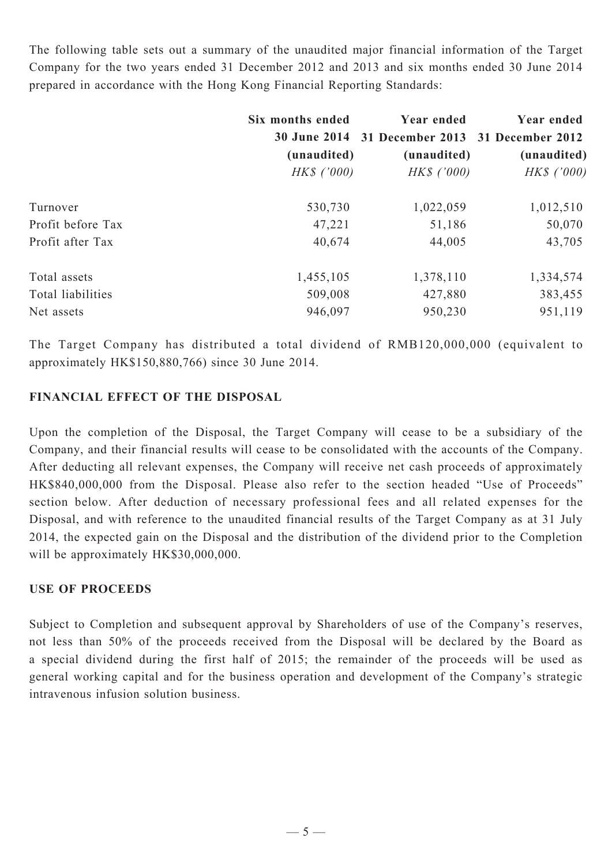The following table sets out a summary of the unaudited major financial information of the Target Company for the two years ended 31 December 2012 and 2013 and six months ended 30 June 2014 prepared in accordance with the Hong Kong Financial Reporting Standards:

|                   | Six months ended<br>(unaudited)<br>$HKS$ ('000) | Year ended<br>30 June 2014 31 December 2013 31 December 2012<br>(unaudited)<br>$HKS$ ('000) | Year ended<br>(unaudited)<br>HK\$ ('000) |
|-------------------|-------------------------------------------------|---------------------------------------------------------------------------------------------|------------------------------------------|
|                   |                                                 |                                                                                             |                                          |
|                   |                                                 |                                                                                             |                                          |
| Turnover          | 530,730                                         | 1,022,059                                                                                   | 1,012,510                                |
| Profit before Tax | 47,221                                          | 51,186                                                                                      | 50,070                                   |
| Profit after Tax  | 40,674                                          | 44,005                                                                                      | 43,705                                   |
| Total assets      | 1,455,105                                       | 1,378,110                                                                                   | 1,334,574                                |
| Total liabilities | 509,008                                         | 427,880                                                                                     | 383,455                                  |
| Net assets        | 946,097                                         | 950,230                                                                                     | 951,119                                  |

The Target Company has distributed a total dividend of RMB120,000,000 (equivalent to approximately HK\$150,880,766) since 30 June 2014.

# **FINANCIAL EFFECT OF THE DISPOSAL**

Upon the completion of the Disposal, the Target Company will cease to be a subsidiary of the Company, and their financial results will cease to be consolidated with the accounts of the Company. After deducting all relevant expenses, the Company will receive net cash proceeds of approximately HK\$840,000,000 from the Disposal. Please also refer to the section headed "Use of Proceeds" section below. After deduction of necessary professional fees and all related expenses for the Disposal, and with reference to the unaudited financial results of the Target Company as at 31 July 2014, the expected gain on the Disposal and the distribution of the dividend prior to the Completion will be approximately HK\$30,000,000.

# **USE OF PROCEEDS**

Subject to Completion and subsequent approval by Shareholders of use of the Company's reserves, not less than 50% of the proceeds received from the Disposal will be declared by the Board as a special dividend during the first half of 2015; the remainder of the proceeds will be used as general working capital and for the business operation and development of the Company's strategic intravenous infusion solution business.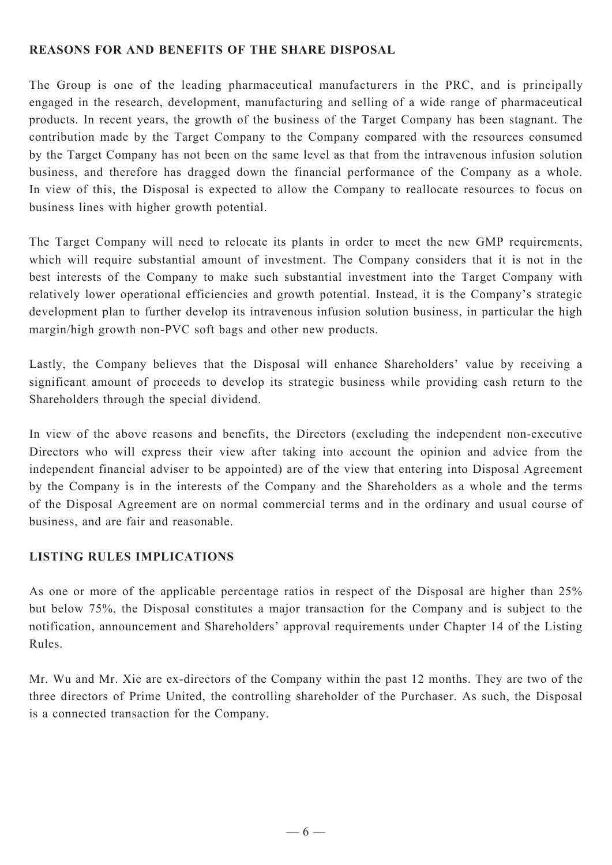### **REASONS FOR AND BENEFITS OF THE SHARE DISPOSAL**

The Group is one of the leading pharmaceutical manufacturers in the PRC, and is principally engaged in the research, development, manufacturing and selling of a wide range of pharmaceutical products. In recent years, the growth of the business of the Target Company has been stagnant. The contribution made by the Target Company to the Company compared with the resources consumed by the Target Company has not been on the same level as that from the intravenous infusion solution business, and therefore has dragged down the financial performance of the Company as a whole. In view of this, the Disposal is expected to allow the Company to reallocate resources to focus on business lines with higher growth potential.

The Target Company will need to relocate its plants in order to meet the new GMP requirements, which will require substantial amount of investment. The Company considers that it is not in the best interests of the Company to make such substantial investment into the Target Company with relatively lower operational efficiencies and growth potential. Instead, it is the Company's strategic development plan to further develop its intravenous infusion solution business, in particular the high margin/high growth non-PVC soft bags and other new products.

Lastly, the Company believes that the Disposal will enhance Shareholders' value by receiving a significant amount of proceeds to develop its strategic business while providing cash return to the Shareholders through the special dividend.

In view of the above reasons and benefits, the Directors (excluding the independent non-executive Directors who will express their view after taking into account the opinion and advice from the independent financial adviser to be appointed) are of the view that entering into Disposal Agreement by the Company is in the interests of the Company and the Shareholders as a whole and the terms of the Disposal Agreement are on normal commercial terms and in the ordinary and usual course of business, and are fair and reasonable.

# **LISTING RULES IMPLICATIONS**

As one or more of the applicable percentage ratios in respect of the Disposal are higher than 25% but below 75%, the Disposal constitutes a major transaction for the Company and is subject to the notification, announcement and Shareholders' approval requirements under Chapter 14 of the Listing Rules.

Mr. Wu and Mr. Xie are ex-directors of the Company within the past 12 months. They are two of the three directors of Prime United, the controlling shareholder of the Purchaser. As such, the Disposal is a connected transaction for the Company.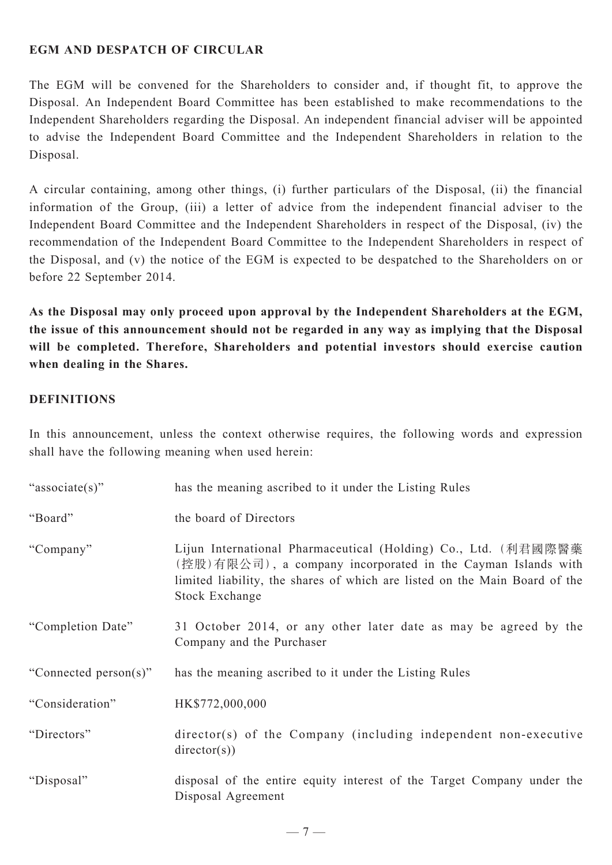### **EGM AND DESPATCH OF CIRCULAR**

The EGM will be convened for the Shareholders to consider and, if thought fit, to approve the Disposal. An Independent Board Committee has been established to make recommendations to the Independent Shareholders regarding the Disposal. An independent financial adviser will be appointed to advise the Independent Board Committee and the Independent Shareholders in relation to the Disposal.

A circular containing, among other things, (i) further particulars of the Disposal, (ii) the financial information of the Group, (iii) a letter of advice from the independent financial adviser to the Independent Board Committee and the Independent Shareholders in respect of the Disposal, (iv) the recommendation of the Independent Board Committee to the Independent Shareholders in respect of the Disposal, and (v) the notice of the EGM is expected to be despatched to the Shareholders on or before 22 September 2014.

**As the Disposal may only proceed upon approval by the Independent Shareholders at the EGM, the issue of this announcement should not be regarded in any way as implying that the Disposal will be completed. Therefore, Shareholders and potential investors should exercise caution when dealing in the Shares.**

### **DEFINITIONS**

In this announcement, unless the context otherwise requires, the following words and expression shall have the following meaning when used herein:

| "associate(s)"        | has the meaning ascribed to it under the Listing Rules                                                                                                                                                                                |
|-----------------------|---------------------------------------------------------------------------------------------------------------------------------------------------------------------------------------------------------------------------------------|
| "Board"               | the board of Directors                                                                                                                                                                                                                |
| "Company"             | Lijun International Pharmaceutical (Holding) Co., Ltd. (利君國際醫藥<br>(控股)有限公司), a company incorporated in the Cayman Islands with<br>limited liability, the shares of which are listed on the Main Board of the<br><b>Stock Exchange</b> |
| "Completion Date"     | 31 October 2014, or any other later date as may be agreed by the<br>Company and the Purchaser                                                                                                                                         |
| "Connected person(s)" | has the meaning ascribed to it under the Listing Rules                                                                                                                                                                                |
| "Consideration"       | HK\$772,000,000                                                                                                                                                                                                                       |
| "Directors"           | director(s) of the Company (including independent non-executive<br>directory(s))                                                                                                                                                      |
| "Disposal"            | disposal of the entire equity interest of the Target Company under the<br>Disposal Agreement                                                                                                                                          |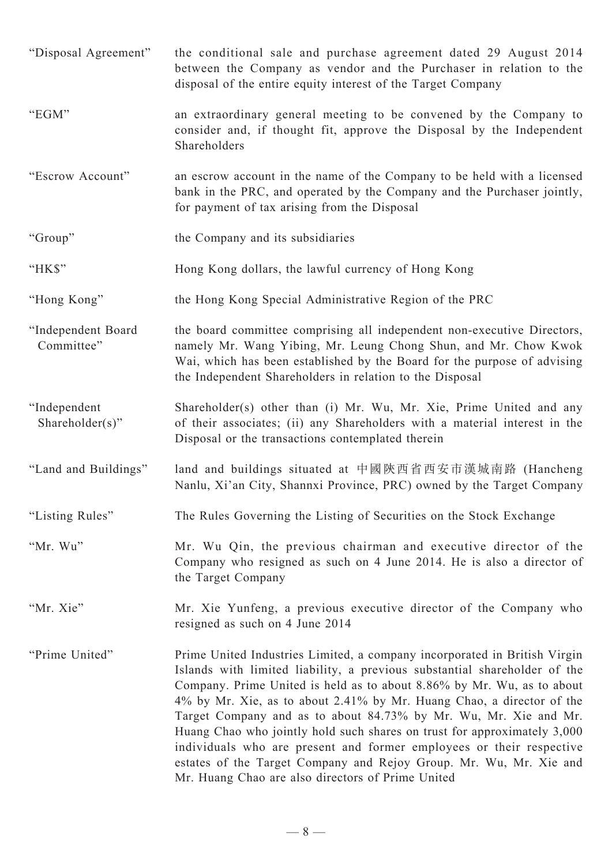"Disposal Agreement" the conditional sale and purchase agreement dated 29 August 2014 between the Company as vendor and the Purchaser in relation to the disposal of the entire equity interest of the Target Company "EGM" an extraordinary general meeting to be convened by the Company to consider and, if thought fit, approve the Disposal by the Independent Shareholders "Escrow Account" an escrow account in the name of the Company to be held with a licensed bank in the PRC, and operated by the Company and the Purchaser jointly, for payment of tax arising from the Disposal "Group" the Company and its subsidiaries "HK\$" Hong Kong dollars, the lawful currency of Hong Kong "Hong Kong" the Hong Kong Special Administrative Region of the PRC "Independent Board Committee" the board committee comprising all independent non-executive Directors, namely Mr. Wang Yibing, Mr. Leung Chong Shun, and Mr. Chow Kwok Wai, which has been established by the Board for the purpose of advising the Independent Shareholders in relation to the Disposal "Independent Shareholder(s)" Shareholder(s) other than (i) Mr. Wu, Mr. Xie, Prime United and any of their associates; (ii) any Shareholders with a material interest in the Disposal or the transactions contemplated therein "Land and Buildings" land and buildings situated at 中國陝西省西安市漢城南路 (Hancheng Nanlu, Xi'an City, Shannxi Province, PRC) owned by the Target Company "Listing Rules" The Rules Governing the Listing of Securities on the Stock Exchange "Mr. Wu" Mr. Wu Qin, the previous chairman and executive director of the Company who resigned as such on 4 June 2014. He is also a director of the Target Company "Mr. Xie" Mr. Xie Yunfeng, a previous executive director of the Company who resigned as such on 4 June 2014 "Prime United" Prime United Industries Limited, a company incorporated in British Virgin Islands with limited liability, a previous substantial shareholder of the Company. Prime United is held as to about 8.86% by Mr. Wu, as to about 4% by Mr. Xie, as to about 2.41% by Mr. Huang Chao, a director of the Target Company and as to about 84.73% by Mr. Wu, Mr. Xie and Mr. Huang Chao who jointly hold such shares on trust for approximately 3,000 individuals who are present and former employees or their respective estates of the Target Company and Rejoy Group. Mr. Wu, Mr. Xie and Mr. Huang Chao are also directors of Prime United